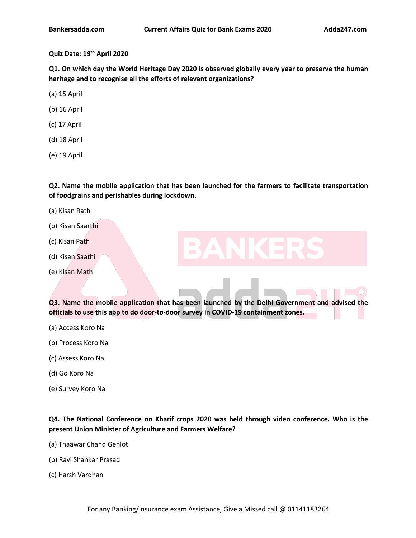# **Quiz Date: 19 th April 2020**

**Q1. On which day the World Heritage Day 2020 is observed globally every year to preserve the human heritage and to recognise all the efforts of relevant [organization](https://www.adda247.com/product-onlineliveclasses/3540/sbi-po-ka-maha-pack-online-live-classes-test-series-video-courses-ebooks-in-english-medium)s?**

(a) 15 April

- (b) 16 April
- (c) 17 April
- (d) 18 April
- (e) 19 April

**Q2. Name the mobile application that has been [launched](https://www.adda247.com/product-onlineliveclasses/3936/bank-maha-pack-6-months) for the farmers to facilitate transportation of foodgrains and perishables during lockdown.**

- (a) Kisan Rath
- (b) Kisan Saarthi
- (c) Kisan Path
- (d) Kisan Saathi
- (e) Kisan Math

**Q3. Name the mobile application that has been launched by the DelhiGovernment and advised the officials to use this app to do door-to-door survey in COVID-19 containment zones.**

- (a) Access Koro Na
- (b) Process Koro Na
- (c) Assess Koro Na
- (d) Go Koro Na
- (e) Survey Koro Na

**Q4. The National Conference on Kharif crops 2020 was held through video conference. Who is the present Union Minister of Agriculture and Farmers Welfare?**

- (a) Thaawar Chand Gehlot
- (b) Ravi Shankar Prasad
- (c) Harsh Vardhan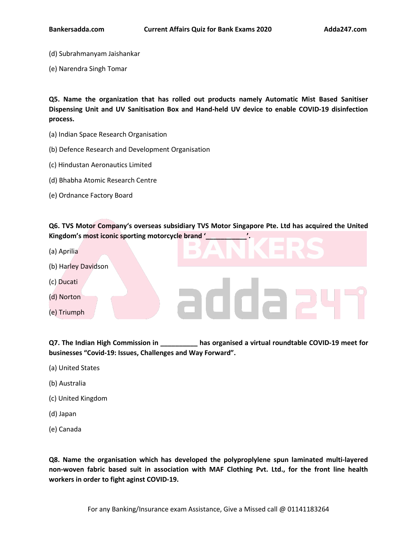- (d) Subrahmanyam Jaishankar
- (e) Narendra Singh Tomar

**Q5. Name the organization that has rolled out products namely Automatic Mist Based Sanitiser Dispensing Unit and UV Sanitisation Box and [Hand-held](https://www.adda247.com/product-onlineliveclasses/3540/sbi-po-ka-maha-pack-online-live-classes-test-series-video-courses-ebooks-in-english-medium) UV device to enable COVID-19 disinfection process.**

- (a) Indian Space Research Organisation
- (b) Defence Research and Development [Organisation](https://www.adda247.com/product-onlineliveclasses/3936/bank-maha-pack-6-months)
- (c) Hindustan Aeronautics Limited
- (d) Bhabha Atomic Research Centre
- (e) Ordnance Factory Board

**Q6. TVS Motor Company's overseas subsidiary TVS Motor Singapore Pte. Ltd has acquired the United Kingdom's most iconic sporting motorcycle brand '\_\_\_\_\_\_\_\_\_\_\_'.**

- (a) Aprilia
- (b) Harley Davidson
- (c) Ducati
- (d) Norton
- (e) Triumph

**Q7. The Indian High Commission in \_\_\_\_\_\_\_\_\_\_ has organised a virtual roundtable COVID-19 meet for businesses "Covid-19: Issues, Challenges and Way Forward".**

daa

- (a) United States
- (b) Australia
- (c) United Kingdom
- (d) Japan
- (e) Canada

**Q8. Name the organisation which has developed the polyproplylene spun laminated multi-layered non-woven fabric based suit in association with MAF Clothing Pvt. Ltd., for the front line health workers in order to fight aginst COVID-19.**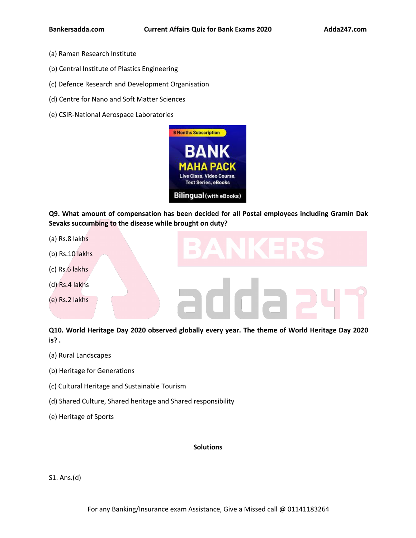- (a) Raman Research Institute
- (b) Central Institute of Plastics Engineering
- (c) Defence Research and Development [Organisation](https://www.adda247.com/product-onlineliveclasses/3540/sbi-po-ka-maha-pack-online-live-classes-test-series-video-courses-ebooks-in-english-medium)
- (d) Centre for Nano and Soft Matter Sciences
- (e) CSIR-National Aerospace Laboratories



**Q9. What amount of compensation has been decided for all Postal employees including Gramin Dak Sevaks succumbing to the disease while brought on duty?**

- (a) Rs.8 lakhs
- (b) Rs.10 lakhs
- (c) Rs.6 lakhs
- (d) Rs.4 lakhs
- (e) Rs.2 lakhs

**Q10. World Heritage Day 2020 observed globally every year. The theme of World Heritage Day 2020 is? .**

- (a) Rural Landscapes
- (b) Heritage for Generations
- (c) Cultural Heritage and Sustainable Tourism
- (d) Shared Culture, Shared heritage and Shared responsibility
- (e) Heritage of Sports

## **Solutions**

S1. Ans.(d)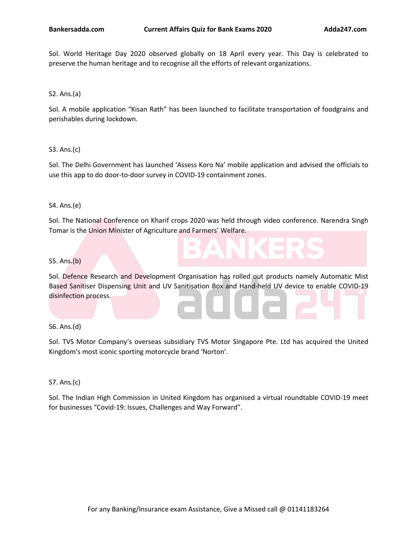Sol. World Heritage Day 2020 observed globally on 18 April every year. This Day is celebrated to preserve the human heritage and to recognise all the efforts of relevant organizations.

S2. Ans.(a)

Sol. A mobile application "Kisan Rath" has been [launched](https://www.adda247.com/product-onlineliveclasses/3540/sbi-po-ka-maha-pack-online-live-classes-test-series-video-courses-ebooks-in-english-medium) to facilitate transportation of foodgrains and perishables during lockdown.

S3. Ans.(c)

Sol. The Delhi Government has launched 'Assess Koro Na' mobile application and advised the officials to use this app to do door-to-door survey in COVID-19 [containment](https://www.adda247.com/product-onlineliveclasses/3936/bank-maha-pack-6-months) zones.

S4. Ans.(e)

Sol. The National Conference on Kharif crops 2020 was held through video conference. Narendra Singh Tomar is the Union Minister of Agriculture and Farmers' Welfare.

#### S5. Ans.(b)

Sol. Defence Research and Development Organisation has rolled out products namely Automatic Mist Based Sanitiser Dispensing Unit and UV Sanitisation Box and Hand-held UV device to enable COVID-19 disinfection process.

#### S6. Ans.(d)

Sol. TVS Motor Company's overseas subsidiary TVS Motor Singapore Pte. Ltd has acquired the United Kingdom's most iconic sporting motorcycle brand 'Norton'.

S7. Ans.(c)

Sol. The Indian High Commission in United Kingdom has organised a virtual roundtable COVID-19 meet for businesses "Covid-19: Issues, Challenges and Way Forward".